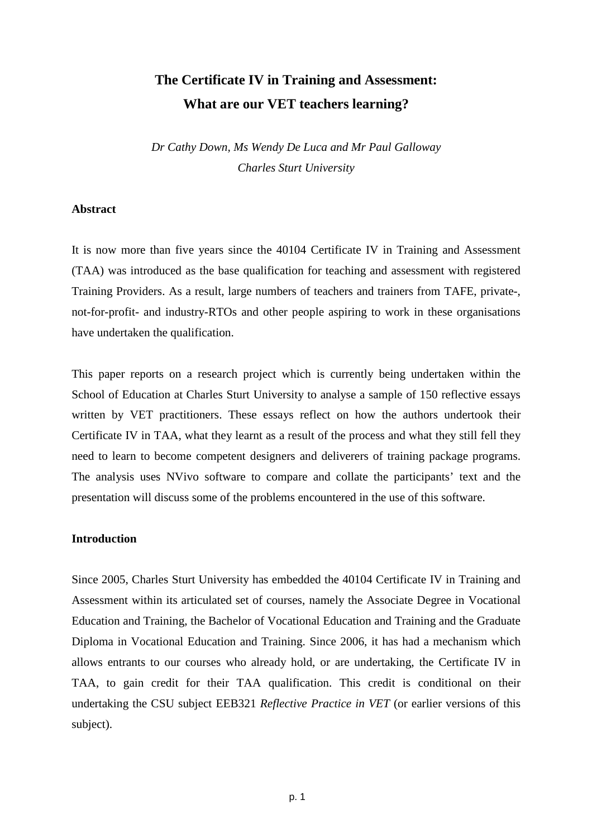# **The Certificate IV in Training and Assessment: What are our VET teachers learning?**

*Dr Cathy Down, Ms Wendy De Luca and Mr Paul Galloway Charles Sturt University* 

## **Abstract**

It is now more than five years since the 40104 Certificate IV in Training and Assessment (TAA) was introduced as the base qualification for teaching and assessment with registered Training Providers. As a result, large numbers of teachers and trainers from TAFE, private-, not-for-profit- and industry-RTOs and other people aspiring to work in these organisations have undertaken the qualification.

This paper reports on a research project which is currently being undertaken within the School of Education at Charles Sturt University to analyse a sample of 150 reflective essays written by VET practitioners. These essays reflect on how the authors undertook their Certificate IV in TAA, what they learnt as a result of the process and what they still fell they need to learn to become competent designers and deliverers of training package programs. The analysis uses NVivo software to compare and collate the participants' text and the presentation will discuss some of the problems encountered in the use of this software.

## **Introduction**

Since 2005, Charles Sturt University has embedded the 40104 Certificate IV in Training and Assessment within its articulated set of courses, namely the Associate Degree in Vocational Education and Training, the Bachelor of Vocational Education and Training and the Graduate Diploma in Vocational Education and Training. Since 2006, it has had a mechanism which allows entrants to our courses who already hold, or are undertaking, the Certificate IV in TAA, to gain credit for their TAA qualification. This credit is conditional on their undertaking the CSU subject EEB321 *Reflective Practice in VET* (or earlier versions of this subject).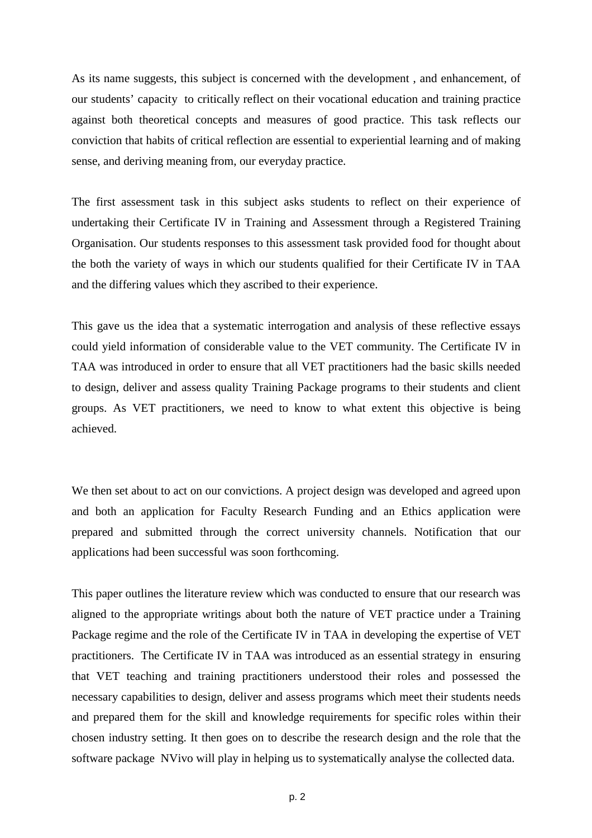As its name suggests, this subject is concerned with the development , and enhancement, of our students' capacity to critically reflect on their vocational education and training practice against both theoretical concepts and measures of good practice. This task reflects our conviction that habits of critical reflection are essential to experiential learning and of making sense, and deriving meaning from, our everyday practice.

The first assessment task in this subject asks students to reflect on their experience of undertaking their Certificate IV in Training and Assessment through a Registered Training Organisation. Our students responses to this assessment task provided food for thought about the both the variety of ways in which our students qualified for their Certificate IV in TAA and the differing values which they ascribed to their experience.

This gave us the idea that a systematic interrogation and analysis of these reflective essays could yield information of considerable value to the VET community. The Certificate IV in TAA was introduced in order to ensure that all VET practitioners had the basic skills needed to design, deliver and assess quality Training Package programs to their students and client groups. As VET practitioners, we need to know to what extent this objective is being achieved.

We then set about to act on our convictions. A project design was developed and agreed upon and both an application for Faculty Research Funding and an Ethics application were prepared and submitted through the correct university channels. Notification that our applications had been successful was soon forthcoming.

This paper outlines the literature review which was conducted to ensure that our research was aligned to the appropriate writings about both the nature of VET practice under a Training Package regime and the role of the Certificate IV in TAA in developing the expertise of VET practitioners. The Certificate IV in TAA was introduced as an essential strategy in ensuring that VET teaching and training practitioners understood their roles and possessed the necessary capabilities to design, deliver and assess programs which meet their students needs and prepared them for the skill and knowledge requirements for specific roles within their chosen industry setting. It then goes on to describe the research design and the role that the software package NVivo will play in helping us to systematically analyse the collected data.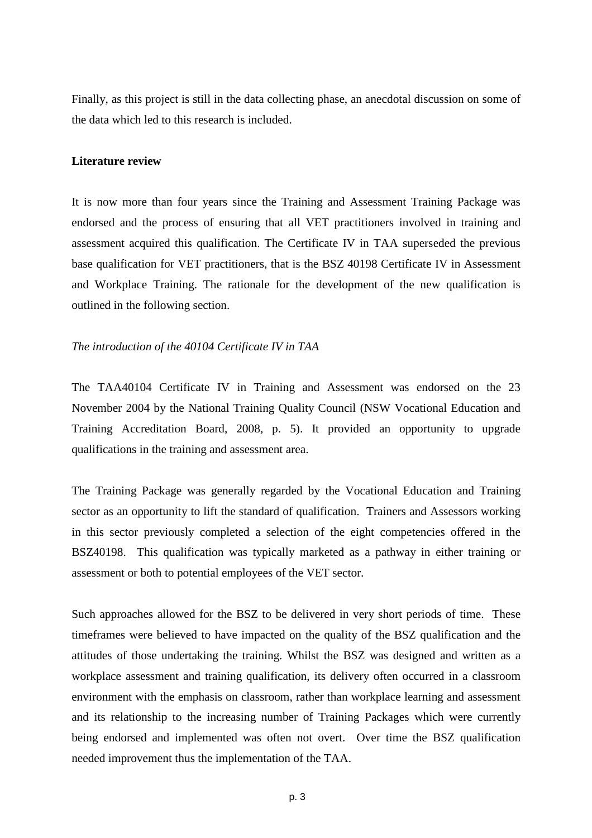Finally, as this project is still in the data collecting phase, an anecdotal discussion on some of the data which led to this research is included.

### **Literature review**

It is now more than four years since the Training and Assessment Training Package was endorsed and the process of ensuring that all VET practitioners involved in training and assessment acquired this qualification. The Certificate IV in TAA superseded the previous base qualification for VET practitioners, that is the BSZ 40198 Certificate IV in Assessment and Workplace Training. The rationale for the development of the new qualification is outlined in the following section.

## *The introduction of the 40104 Certificate IV in TAA*

The TAA40104 Certificate IV in Training and Assessment was endorsed on the 23 November 2004 by the National Training Quality Council (NSW Vocational Education and Training Accreditation Board, 2008, p. 5). It provided an opportunity to upgrade qualifications in the training and assessment area.

The Training Package was generally regarded by the Vocational Education and Training sector as an opportunity to lift the standard of qualification. Trainers and Assessors working in this sector previously completed a selection of the eight competencies offered in the BSZ40198. This qualification was typically marketed as a pathway in either training or assessment or both to potential employees of the VET sector.

Such approaches allowed for the BSZ to be delivered in very short periods of time. These timeframes were believed to have impacted on the quality of the BSZ qualification and the attitudes of those undertaking the training. Whilst the BSZ was designed and written as a workplace assessment and training qualification, its delivery often occurred in a classroom environment with the emphasis on classroom, rather than workplace learning and assessment and its relationship to the increasing number of Training Packages which were currently being endorsed and implemented was often not overt. Over time the BSZ qualification needed improvement thus the implementation of the TAA.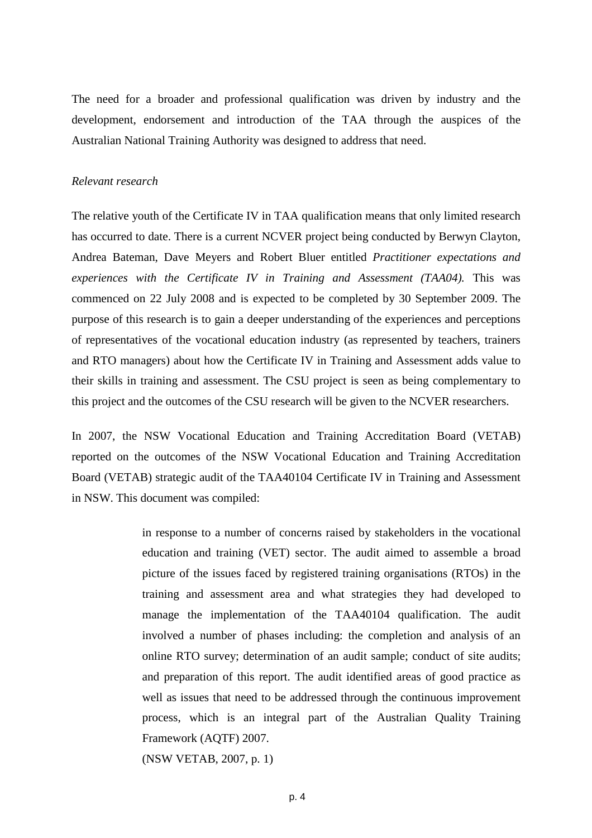The need for a broader and professional qualification was driven by industry and the development, endorsement and introduction of the TAA through the auspices of the Australian National Training Authority was designed to address that need.

#### *Relevant research*

The relative youth of the Certificate IV in TAA qualification means that only limited research has occurred to date. There is a current NCVER project being conducted by Berwyn Clayton, Andrea Bateman, Dave Meyers and Robert Bluer entitled *Practitioner expectations and experiences with the Certificate IV in Training and Assessment (TAA04).* This was commenced on 22 July 2008 and is expected to be completed by 30 September 2009. The purpose of this research is to gain a deeper understanding of the experiences and perceptions of representatives of the vocational education industry (as represented by teachers, trainers and RTO managers) about how the Certificate IV in Training and Assessment adds value to their skills in training and assessment. The CSU project is seen as being complementary to this project and the outcomes of the CSU research will be given to the NCVER researchers.

In 2007, the NSW Vocational Education and Training Accreditation Board (VETAB) reported on the outcomes of the NSW Vocational Education and Training Accreditation Board (VETAB) strategic audit of the TAA40104 Certificate IV in Training and Assessment in NSW. This document was compiled:

> in response to a number of concerns raised by stakeholders in the vocational education and training (VET) sector. The audit aimed to assemble a broad picture of the issues faced by registered training organisations (RTOs) in the training and assessment area and what strategies they had developed to manage the implementation of the TAA40104 qualification. The audit involved a number of phases including: the completion and analysis of an online RTO survey; determination of an audit sample; conduct of site audits; and preparation of this report. The audit identified areas of good practice as well as issues that need to be addressed through the continuous improvement process, which is an integral part of the Australian Quality Training Framework (AQTF) 2007.

(NSW VETAB, 2007, p. 1)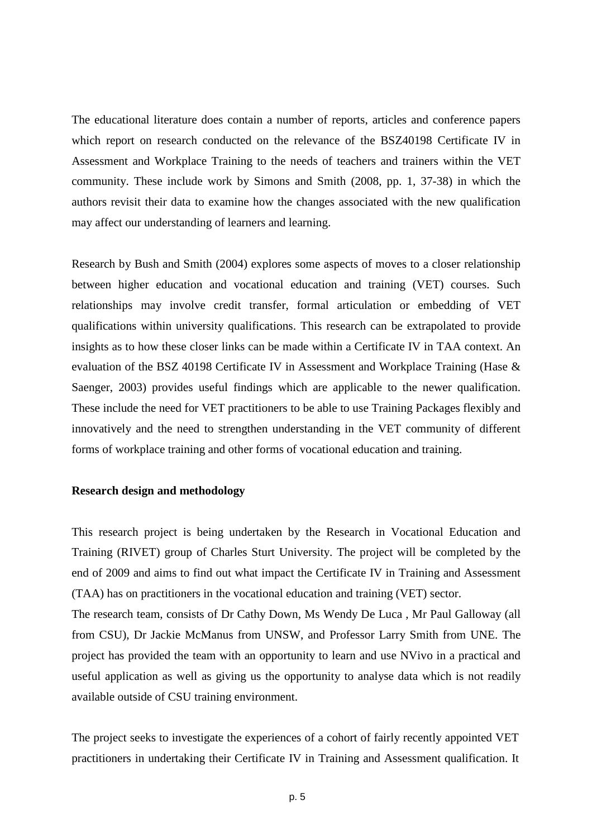The educational literature does contain a number of reports, articles and conference papers which report on research conducted on the relevance of the BSZ40198 Certificate IV in Assessment and Workplace Training to the needs of teachers and trainers within the VET community. These include work by Simons and Smith (2008, pp. 1, 37-38) in which the authors revisit their data to examine how the changes associated with the new qualification may affect our understanding of learners and learning.

Research by Bush and Smith (2004) explores some aspects of moves to a closer relationship between higher education and vocational education and training (VET) courses. Such relationships may involve credit transfer, formal articulation or embedding of VET qualifications within university qualifications. This research can be extrapolated to provide insights as to how these closer links can be made within a Certificate IV in TAA context. An evaluation of the BSZ 40198 Certificate IV in Assessment and Workplace Training (Hase & Saenger, 2003) provides useful findings which are applicable to the newer qualification. These include the need for VET practitioners to be able to use Training Packages flexibly and innovatively and the need to strengthen understanding in the VET community of different forms of workplace training and other forms of vocational education and training.

#### **Research design and methodology**

This research project is being undertaken by the Research in Vocational Education and Training (RIVET) group of Charles Sturt University. The project will be completed by the end of 2009 and aims to find out what impact the Certificate IV in Training and Assessment (TAA) has on practitioners in the vocational education and training (VET) sector.

The research team, consists of Dr Cathy Down, Ms Wendy De Luca , Mr Paul Galloway (all from CSU), Dr Jackie McManus from UNSW, and Professor Larry Smith from UNE. The project has provided the team with an opportunity to learn and use NVivo in a practical and useful application as well as giving us the opportunity to analyse data which is not readily available outside of CSU training environment.

The project seeks to investigate the experiences of a cohort of fairly recently appointed VET practitioners in undertaking their Certificate IV in Training and Assessment qualification. It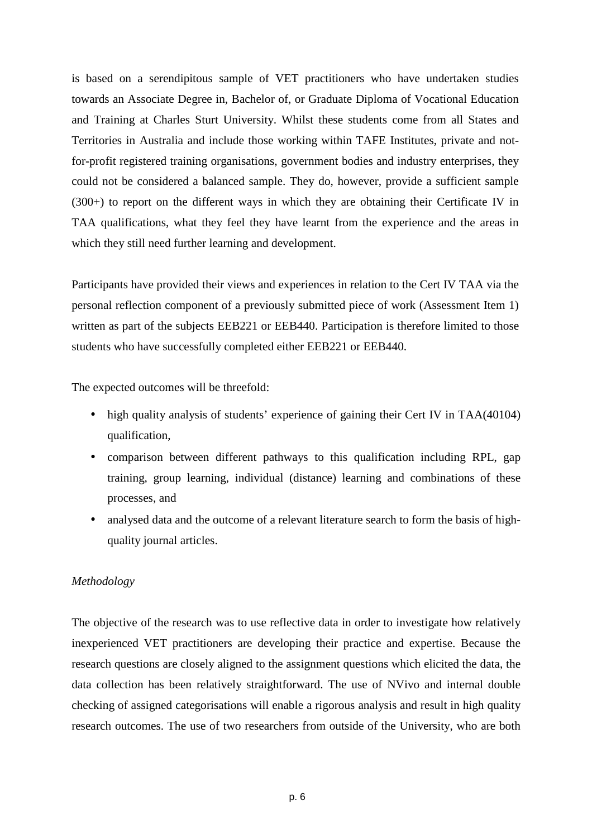is based on a serendipitous sample of VET practitioners who have undertaken studies towards an Associate Degree in, Bachelor of, or Graduate Diploma of Vocational Education and Training at Charles Sturt University. Whilst these students come from all States and Territories in Australia and include those working within TAFE Institutes, private and notfor-profit registered training organisations, government bodies and industry enterprises, they could not be considered a balanced sample. They do, however, provide a sufficient sample (300+) to report on the different ways in which they are obtaining their Certificate IV in TAA qualifications, what they feel they have learnt from the experience and the areas in which they still need further learning and development.

Participants have provided their views and experiences in relation to the Cert IV TAA via the personal reflection component of a previously submitted piece of work (Assessment Item 1) written as part of the subjects EEB221 or EEB440. Participation is therefore limited to those students who have successfully completed either EEB221 or EEB440.

The expected outcomes will be threefold:

- high quality analysis of students' experience of gaining their Cert IV in TAA(40104) qualification,
- comparison between different pathways to this qualification including RPL, gap training, group learning, individual (distance) learning and combinations of these processes, and
- analysed data and the outcome of a relevant literature search to form the basis of highquality journal articles.

## *Methodology*

The objective of the research was to use reflective data in order to investigate how relatively inexperienced VET practitioners are developing their practice and expertise. Because the research questions are closely aligned to the assignment questions which elicited the data, the data collection has been relatively straightforward. The use of NVivo and internal double checking of assigned categorisations will enable a rigorous analysis and result in high quality research outcomes. The use of two researchers from outside of the University, who are both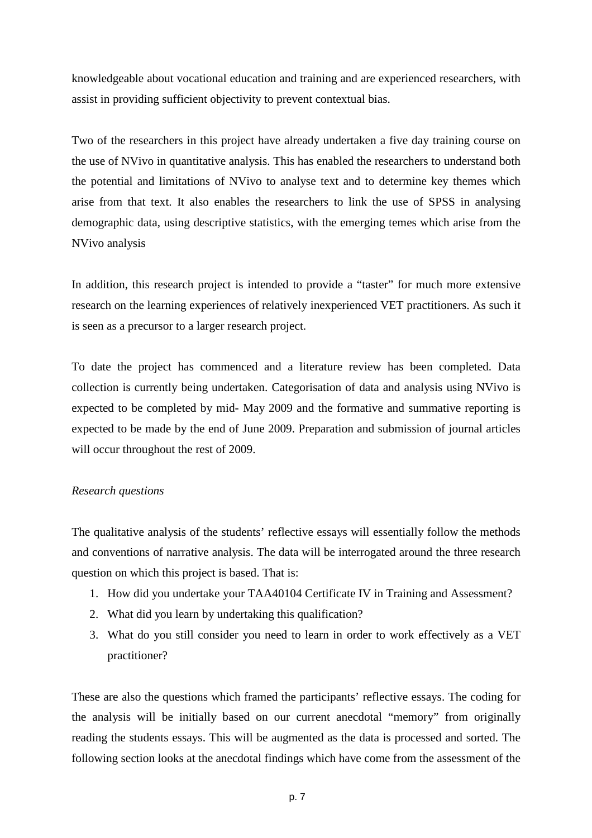knowledgeable about vocational education and training and are experienced researchers, with assist in providing sufficient objectivity to prevent contextual bias.

Two of the researchers in this project have already undertaken a five day training course on the use of NVivo in quantitative analysis. This has enabled the researchers to understand both the potential and limitations of NVivo to analyse text and to determine key themes which arise from that text. It also enables the researchers to link the use of SPSS in analysing demographic data, using descriptive statistics, with the emerging temes which arise from the NVivo analysis

In addition, this research project is intended to provide a "taster" for much more extensive research on the learning experiences of relatively inexperienced VET practitioners. As such it is seen as a precursor to a larger research project.

To date the project has commenced and a literature review has been completed. Data collection is currently being undertaken. Categorisation of data and analysis using NVivo is expected to be completed by mid- May 2009 and the formative and summative reporting is expected to be made by the end of June 2009. Preparation and submission of journal articles will occur throughout the rest of 2009.

#### *Research questions*

The qualitative analysis of the students' reflective essays will essentially follow the methods and conventions of narrative analysis. The data will be interrogated around the three research question on which this project is based. That is:

- 1. How did you undertake your TAA40104 Certificate IV in Training and Assessment?
- 2. What did you learn by undertaking this qualification?
- 3. What do you still consider you need to learn in order to work effectively as a VET practitioner?

These are also the questions which framed the participants' reflective essays. The coding for the analysis will be initially based on our current anecdotal "memory" from originally reading the students essays. This will be augmented as the data is processed and sorted. The following section looks at the anecdotal findings which have come from the assessment of the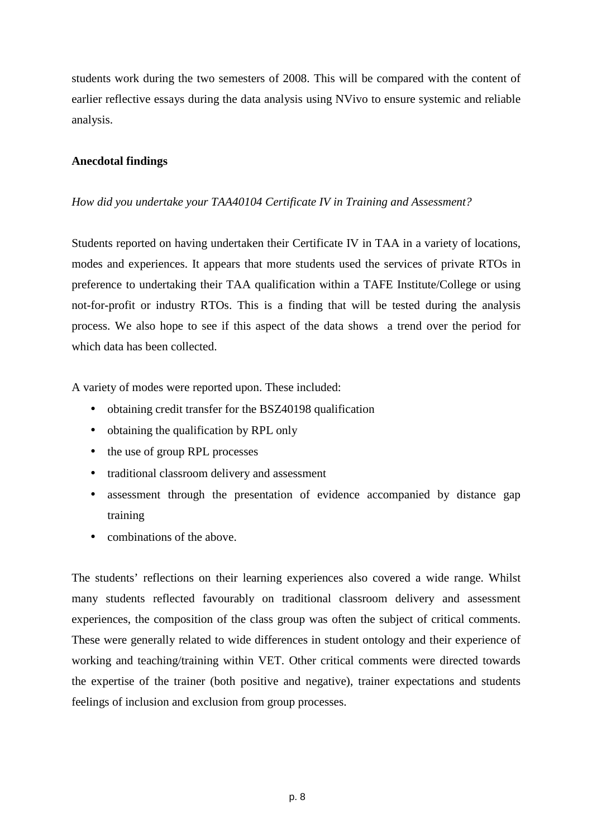students work during the two semesters of 2008. This will be compared with the content of earlier reflective essays during the data analysis using NVivo to ensure systemic and reliable analysis.

# **Anecdotal findings**

# *How did you undertake your TAA40104 Certificate IV in Training and Assessment?*

Students reported on having undertaken their Certificate IV in TAA in a variety of locations, modes and experiences. It appears that more students used the services of private RTOs in preference to undertaking their TAA qualification within a TAFE Institute/College or using not-for-profit or industry RTOs. This is a finding that will be tested during the analysis process. We also hope to see if this aspect of the data shows a trend over the period for which data has been collected.

A variety of modes were reported upon. These included:

- obtaining credit transfer for the BSZ40198 qualification
- obtaining the qualification by RPL only
- the use of group RPL processes
- traditional classroom delivery and assessment
- assessment through the presentation of evidence accompanied by distance gap training
- combinations of the above.

The students' reflections on their learning experiences also covered a wide range. Whilst many students reflected favourably on traditional classroom delivery and assessment experiences, the composition of the class group was often the subject of critical comments. These were generally related to wide differences in student ontology and their experience of working and teaching/training within VET. Other critical comments were directed towards the expertise of the trainer (both positive and negative), trainer expectations and students feelings of inclusion and exclusion from group processes.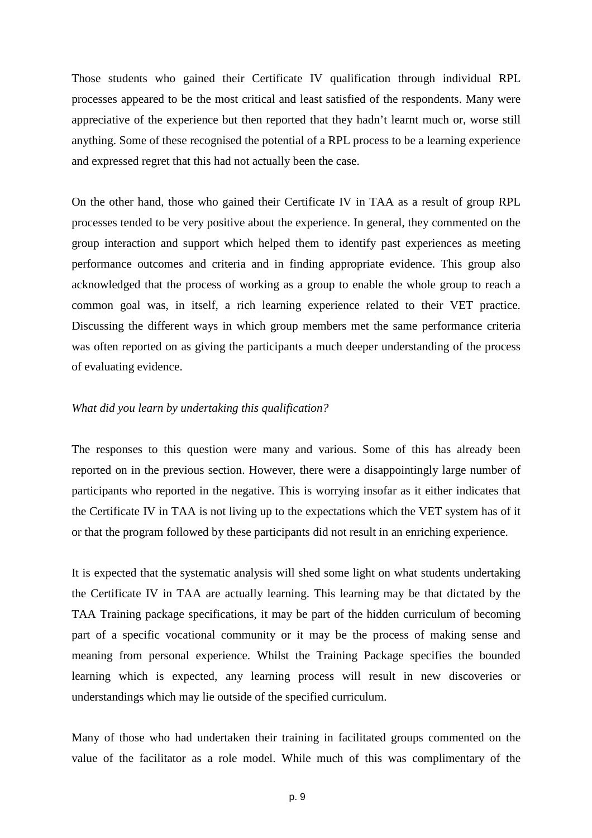Those students who gained their Certificate IV qualification through individual RPL processes appeared to be the most critical and least satisfied of the respondents. Many were appreciative of the experience but then reported that they hadn't learnt much or, worse still anything. Some of these recognised the potential of a RPL process to be a learning experience and expressed regret that this had not actually been the case.

On the other hand, those who gained their Certificate IV in TAA as a result of group RPL processes tended to be very positive about the experience. In general, they commented on the group interaction and support which helped them to identify past experiences as meeting performance outcomes and criteria and in finding appropriate evidence. This group also acknowledged that the process of working as a group to enable the whole group to reach a common goal was, in itself, a rich learning experience related to their VET practice. Discussing the different ways in which group members met the same performance criteria was often reported on as giving the participants a much deeper understanding of the process of evaluating evidence.

## *What did you learn by undertaking this qualification?*

The responses to this question were many and various. Some of this has already been reported on in the previous section. However, there were a disappointingly large number of participants who reported in the negative. This is worrying insofar as it either indicates that the Certificate IV in TAA is not living up to the expectations which the VET system has of it or that the program followed by these participants did not result in an enriching experience.

It is expected that the systematic analysis will shed some light on what students undertaking the Certificate IV in TAA are actually learning. This learning may be that dictated by the TAA Training package specifications, it may be part of the hidden curriculum of becoming part of a specific vocational community or it may be the process of making sense and meaning from personal experience. Whilst the Training Package specifies the bounded learning which is expected, any learning process will result in new discoveries or understandings which may lie outside of the specified curriculum.

Many of those who had undertaken their training in facilitated groups commented on the value of the facilitator as a role model. While much of this was complimentary of the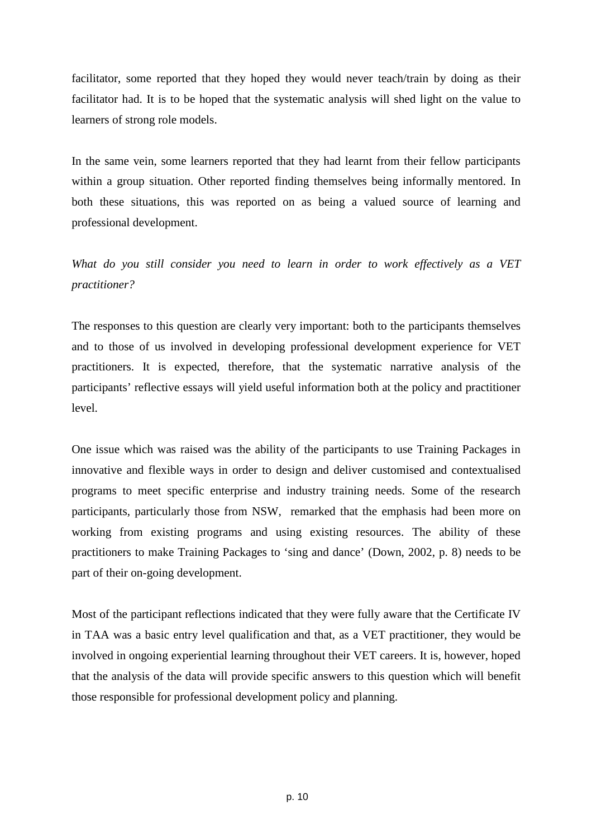facilitator, some reported that they hoped they would never teach/train by doing as their facilitator had. It is to be hoped that the systematic analysis will shed light on the value to learners of strong role models.

In the same vein, some learners reported that they had learnt from their fellow participants within a group situation. Other reported finding themselves being informally mentored. In both these situations, this was reported on as being a valued source of learning and professional development.

*What do you still consider you need to learn in order to work effectively as a VET practitioner?* 

The responses to this question are clearly very important: both to the participants themselves and to those of us involved in developing professional development experience for VET practitioners. It is expected, therefore, that the systematic narrative analysis of the participants' reflective essays will yield useful information both at the policy and practitioner level.

One issue which was raised was the ability of the participants to use Training Packages in innovative and flexible ways in order to design and deliver customised and contextualised programs to meet specific enterprise and industry training needs. Some of the research participants, particularly those from NSW, remarked that the emphasis had been more on working from existing programs and using existing resources. The ability of these practitioners to make Training Packages to 'sing and dance' (Down, 2002, p. 8) needs to be part of their on-going development.

Most of the participant reflections indicated that they were fully aware that the Certificate IV in TAA was a basic entry level qualification and that, as a VET practitioner, they would be involved in ongoing experiential learning throughout their VET careers. It is, however, hoped that the analysis of the data will provide specific answers to this question which will benefit those responsible for professional development policy and planning.